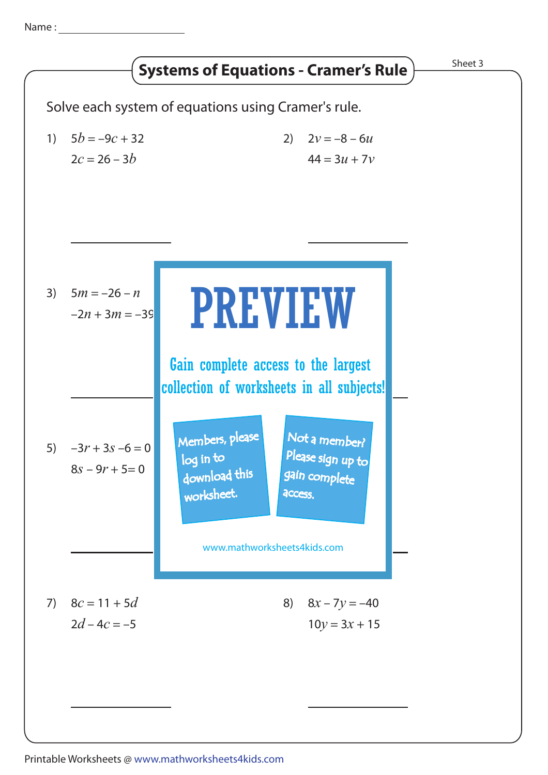Name :